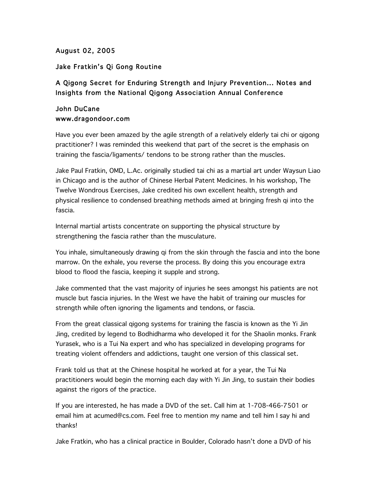## August 02, 2005

## Jake Fratkin's Qi Gong Routine

## A Qigong Secret for Enduring Strength and Injury Prevention... Notes and Insights from the National Qigong Association Annual Conference

## John DuCane www.dragondoor.com

Have you ever been amazed by the agile strength of a relatively elderly tai chi or qigong practitioner? I was reminded this weekend that part of the secret is the emphasis on training the fascia/ligaments/ tendons to be strong rather than the muscles.

Jake Paul Fratkin, OMD, L.Ac. originally studied tai chi as a martial art under Waysun Liao in Chicago and is the author of Chinese Herbal Patent Medicines. In his workshop, The Twelve Wondrous Exercises, Jake credited his own excellent health, strength and physical resilience to condensed breathing methods aimed at bringing fresh qi into the fascia.

Internal martial artists concentrate on supporting the physical structure by strengthening the fascia rather than the musculature.

You inhale, simultaneously drawing qi from the skin through the fascia and into the bone marrow. On the exhale, you reverse the process. By doing this you encourage extra blood to flood the fascia, keeping it supple and strong.

Jake commented that the vast majority of injuries he sees amongst his patients are not muscle but fascia injuries. In the West we have the habit of training our muscles for strength while often ignoring the ligaments and tendons, or fascia.

From the great classical qigong systems for training the fascia is known as the Yi Jin Jing, credited by legend to Bodhidharma who developed it for the Shaolin monks. Frank Yurasek, who is a Tui Na expert and who has specialized in developing programs for treating violent offenders and addictions, taught one version of this classical set.

Frank told us that at the Chinese hospital he worked at for a year, the Tui Na practitioners would begin the morning each day with Yi Jin Jing, to sustain their bodies against the rigors of the practice.

If you are interested, he has made a DVD of the set. Call him at 1-708-466-7501 or email him at acumed@cs.com. Feel free to mention my name and tell him I say hi and thanks!

Jake Fratkin, who has a clinical practice in Boulder, Colorado hasn't done a DVD of his